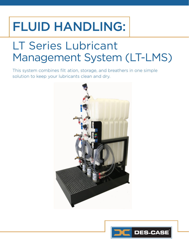# FLUID HANDLING:

# LT Series Lubricant Management System (LT-LMS)

This system combines filtration, storage, and breathers in one simple solution to keep your lubricants clean and dry.

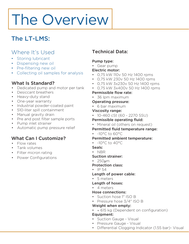# The Overview

# The LT-LMS:

# Where It's Used

- Storing lubricant
- Dispensing new oil
- Pre-filtering new oil
- Collecting oil samples for analysis

# What Is Standard?

- Dedicated pump and motor per tank
- Desiccant breathers
- Heavy-duty stand
- One-year warranty
- Industrial powder-coated paint
- 510-liter spill containment
- Manual gravity drain
- Pre and post filter sample ports
- Pump inlet strainer
- Automatic pump pressure relief

# What Can I Customize?

- Flow rates
- Tank volumes
- Filter micron rating
- Power Configurations

# Technical Data:

## Pump type:

• Gear pump

# Electric motor:

- 0,75 kW 110v 50 Hz 1400 rpms
- 0,75 kW 230v 50 Hz 1400 rpms
- 0,75 kW 3x230v 50 Hz 1400 rpms
- 0,75 kW 3x400v 50 Hz 1400 rpms

## Permissible flow rate:

• 36 lpm maximum

## Permitted ambient temperature:

- $-10^{\circ}$ C to  $40^{\circ}$ C
- Seals:
- NBR
- Suction strainer:
- 250µm

### Protection class:

• IP 54

### Length of power cable:

- 5 meters
- Length of hoses:
- 4 meters

### Hose connections:

- Suction hose 1" ISO B
- Pressure hose 3/4" ISO B

## Weight when empty:

- ≈ 615 kg (Dependent on configuration) Equipment:
- Suction Gauge Visual
- Pressure Gauge Visual
- Differential Clogging Indicator (1.55 bar)- Visual

•

# Operating pressure:

• 6 bar maximum

### Viscosity range:

• 10-460 cSt (60 - 2270 SSU)

### Permissible operating fluid:

• Mineral oil (others on request)

### Permitted fluid temperature range:

 $\cdot$  -10°C to 60°C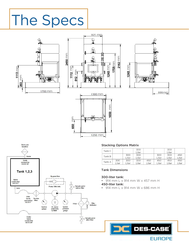# The Specs





1250 mm

mm

650

925 mm





#### Stacking Options Matrix

| Tank C |       |       | 300   |       |       | 300   |       |
|--------|-------|-------|-------|-------|-------|-------|-------|
|        |       |       | Liter |       |       | Liter |       |
| Tank B |       | 300   | 300   |       | 300   | 300   | 450   |
|        |       | Liter | Liter |       | Liter | Liter | Liter |
| Tank A | 300   | 300   | 300   | 450   | 450   | 450   | 450   |
|        | Liter | Liter | Liter | Liter | Liter | Liter | Liter |

#### Tank Dimensions

#### 300-liter tank:

650 mm

- 2 450-liter tank: • 914 mm L x 914 mm W x 457 mm H
- 914 mm L x 914 mm W x 686 mm H

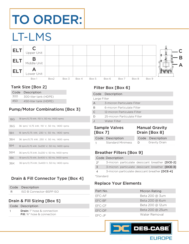# TO ORDER:

# LT-LMS



## Tank Size [Box 2]

|     | Code Description      |
|-----|-----------------------|
| 300 | 300-liter tank (HDPE) |
| 450 | 450-liter tank (HDPE) |

# Pump/Motor Combinations [Box 3]

| 18G             | 18 lpm/0,75 kW, 110 V, 50 Hz, 1400 rpms   |
|-----------------|-------------------------------------------|
| 36G             | 36 lpm/ 0,75 kW, 110 V, 50 Hz, 1400 rpms  |
| 18 <sub>H</sub> | 18 lpm/0.75 kW, 230 V, 50 Hz, 1400 rpms   |
| 36H             | 36 lpm/0,75 kW, 230 V, 50 Hz, 1400 rpms   |
| 18 <sub>M</sub> | 18 lpm/0,75 kW, 3x230 V, 50 Hz, 1400 rpms |
| 36M             | 36 lpm/0,75 kW, 3x230 V, 50 Hz, 1400 rpms |
| 18K             | 18 lpm/0,75 kW, 3x400 V, 50 Hz, 1400 rpms |
| 36K             | 36 lpm/0,75 kW, 3x400 V, 50 Hz, 1400 rpms |

# Drain & Fill Connector Type [Box 4]

| Code Description         |
|--------------------------|
| ISO B Connector-BSPP ISO |

# Drain & Fill Sizing [Box 5]

| Code Description                                                         |  |  |
|--------------------------------------------------------------------------|--|--|
| <b>Drain:</b> 1" hose & connection<br><b>Fill:</b> 34" hose & connection |  |  |

# Filter Box [Box 6]

| Code Description             |  |  |  |
|------------------------------|--|--|--|
| Large Filter                 |  |  |  |
| 3-micron Particulate Filter  |  |  |  |
| 6-micron Particulate Filter  |  |  |  |
| 12-micron Particulate Filter |  |  |  |
| 25-micron Particulate Filter |  |  |  |
| Water Filter                 |  |  |  |
|                              |  |  |  |

# Sample Valves **[Box 7]**

#### Manual Gravity Drain [Box 8]

| Code Description         | Code Description |
|--------------------------|------------------|
| <b>Standard Minimess</b> | Gravity Drain    |

# Breather Filters [Box 9]

#### Code Description

- 2\* 3-micron particulate desiccant breather [DCE-2]
- 3 3-micron particulate desiccant breather [DCE-3]
- 4 3-micron particulate desiccant breather [DCE-4]

\*Standard

## Replace Your Elements

| Part No. | Micron Rating   |
|----------|-----------------|
| EFC-AF   | Beta 200 @ 3um  |
| EFC-BF   | Beta 200 @ 6um  |
| EFC-CF   | Beta 200 @ 12um |
| EFC-DF   | Beta 200 @ 25um |
| $FFC-JE$ | Water Removal   |